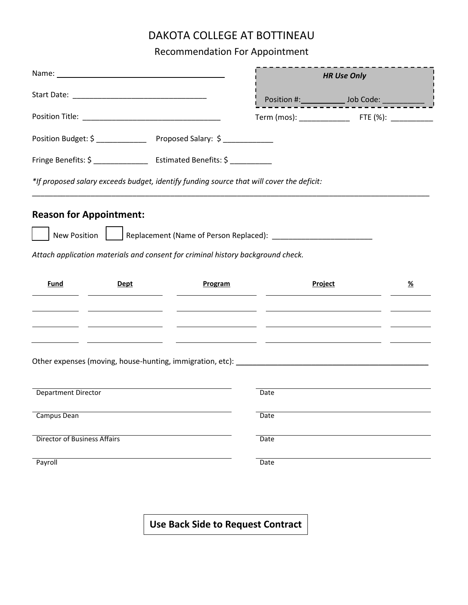## DAKOTA COLLEGE AT BOTTINEAU

Recommendation For Appointment

|                                                                                          |                                                                                                                       |                | <b>HR Use Only</b>                                                               |                                                     |          |
|------------------------------------------------------------------------------------------|-----------------------------------------------------------------------------------------------------------------------|----------------|----------------------------------------------------------------------------------|-----------------------------------------------------|----------|
|                                                                                          |                                                                                                                       |                |                                                                                  | Position #: ________________ Job Code: ____________ |          |
|                                                                                          |                                                                                                                       |                |                                                                                  |                                                     |          |
| Position Budget: \$ ________________ Proposed Salary: \$ _____________                   |                                                                                                                       |                |                                                                                  |                                                     |          |
| Fringe Benefits: \$ _____________________ Estimated Benefits: \$ ____________            |                                                                                                                       |                |                                                                                  |                                                     |          |
| *If proposed salary exceeds budget, identify funding source that will cover the deficit: |                                                                                                                       |                |                                                                                  |                                                     |          |
| <b>Reason for Appointment:</b>                                                           |                                                                                                                       |                |                                                                                  |                                                     |          |
|                                                                                          |                                                                                                                       |                | New Position   Replacement (Name of Person Replaced): __________________________ |                                                     |          |
| Attach application materials and consent for criminal history background check.          |                                                                                                                       |                |                                                                                  |                                                     |          |
| <u>Fund</u>                                                                              | <b>Dept</b>                                                                                                           | <b>Program</b> |                                                                                  | <b>Project</b>                                      | <u>%</u> |
| <u> 1989 - John Stone, marian al-Amerikaansk politiker (</u>                             | <u>and the state of the state of the state of the state of the state of the state of the state of the state of th</u> |                |                                                                                  |                                                     |          |
|                                                                                          |                                                                                                                       |                |                                                                                  |                                                     |          |
| Department Director                                                                      |                                                                                                                       |                | Date                                                                             |                                                     |          |
| Campus Dean                                                                              |                                                                                                                       |                | Date                                                                             |                                                     |          |
| <b>Director of Business Affairs</b>                                                      |                                                                                                                       |                | Date                                                                             |                                                     |          |
| Payroll                                                                                  |                                                                                                                       |                | Date                                                                             |                                                     |          |

**Use Back Side to Request Contract**